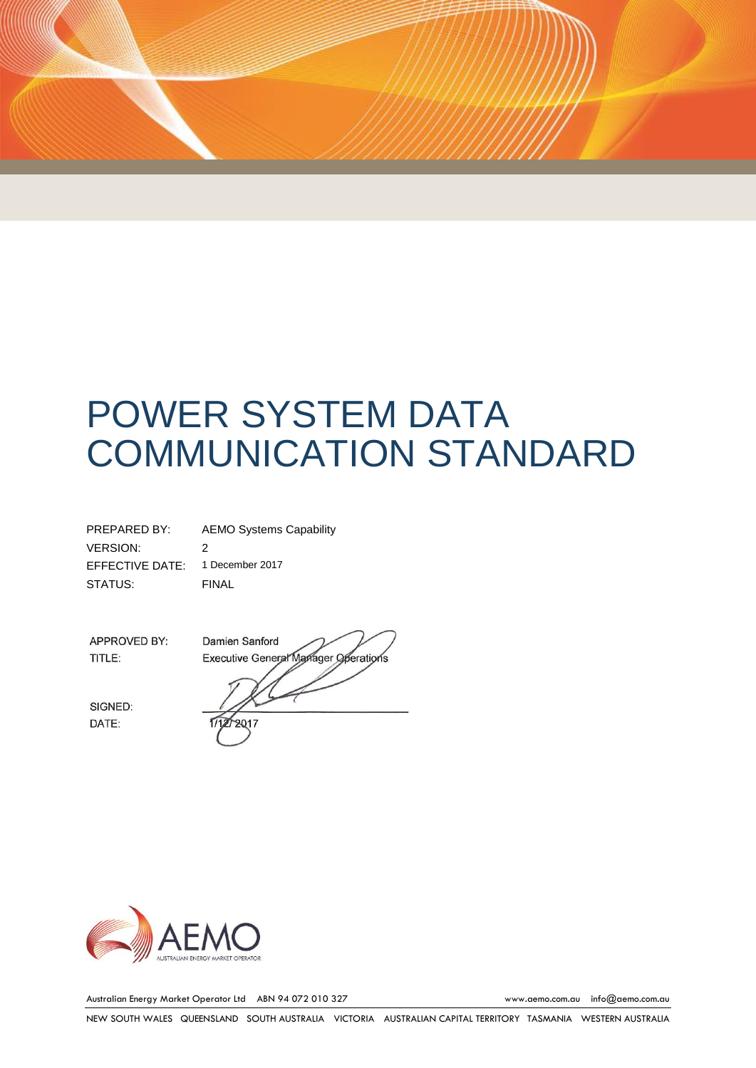# POWER SYSTEM DATA COMMUNICATION STANDARD

| PREPARED BY:    | <b>AEMO Systems Capability</b> |
|-----------------|--------------------------------|
| VERSION:        | 2                              |
| EFFECTIVE DATE: | 1 December 2017                |
| STATUS:         | FINAL                          |

APPROVED BY: TITLE:

SIGNED: DATE:

Damien Sanford Executive General Manager Operations 2017



Australian Energy Market Operator Ltd ABN 94 072 010 327 [www.aemo.com.au](http://www.aemo.com.au/) [info@aemo.com.au](mailto:info@aemo.com.au)

NEW SOUTH WALES QUEENSLAND SOUTH AUSTRALIA VICTORIA AUSTRALIAN CAPITAL TERRITORY TASMANIA WESTERN AUSTRALIA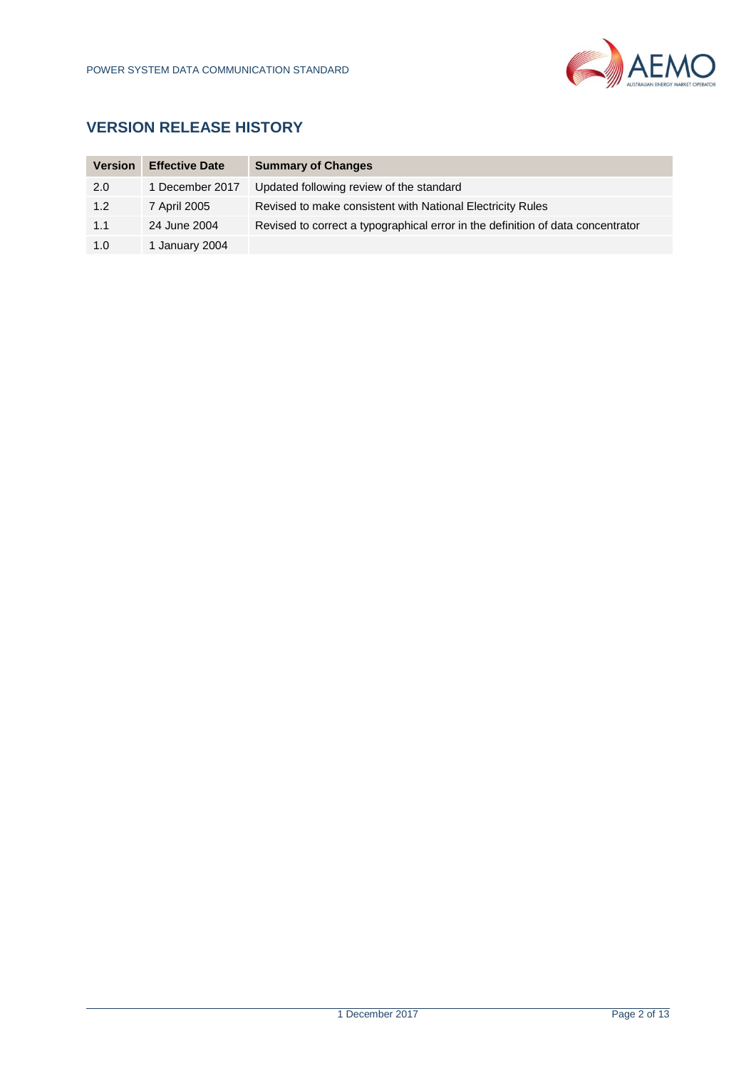

# **VERSION RELEASE HISTORY**

| <b>Version</b> | <b>Effective Date</b> | <b>Summary of Changes</b>                                                       |
|----------------|-----------------------|---------------------------------------------------------------------------------|
| 2.0            | 1 December 2017       | Updated following review of the standard                                        |
| 1.2            | 7 April 2005          | Revised to make consistent with National Electricity Rules                      |
| 1.1            | 24 June 2004          | Revised to correct a typographical error in the definition of data concentrator |
| 1.0            | 1 January 2004        |                                                                                 |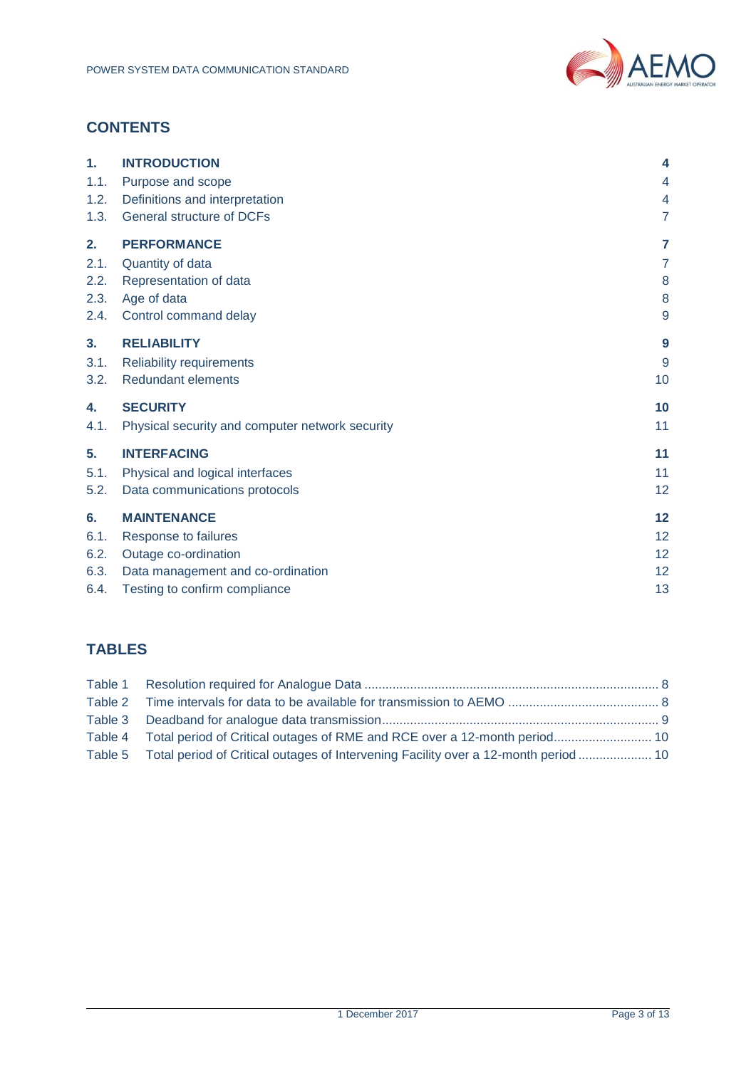

# **CONTENTS**

| $\mathbf 1$ . | <b>INTRODUCTION</b>                             | $\overline{\bf 4}$ |
|---------------|-------------------------------------------------|--------------------|
| 1.1.          | Purpose and scope                               | 4                  |
| 1.2.          | Definitions and interpretation                  | 4                  |
| 1.3.          | <b>General structure of DCFs</b>                | 7                  |
| 2.            | <b>PERFORMANCE</b>                              | $\overline{7}$     |
| 2.1.          | Quantity of data                                | $\overline{7}$     |
| 2.2.          | Representation of data                          | 8                  |
| 2.3.          | Age of data                                     | 8                  |
| 2.4.          | Control command delay                           | $\overline{9}$     |
| 3.            | <b>RELIABILITY</b>                              | 9                  |
| 3.1.          | <b>Reliability requirements</b>                 | 9                  |
| 3.2.          | <b>Redundant elements</b>                       | 10                 |
| 4.            | <b>SECURITY</b>                                 | 10                 |
| 4.1.          | Physical security and computer network security | 11                 |
| 5.            | <b>INTERFACING</b>                              | 11                 |
| 5.1.          | Physical and logical interfaces                 | 11                 |
| 5.2.          | Data communications protocols                   | 12                 |
| 6.            | <b>MAINTENANCE</b>                              | 12                 |
| 6.1.          | Response to failures                            | 12                 |
| 6.2.          | Outage co-ordination                            | 12                 |
| 6.3.          | Data management and co-ordination               | 12                 |
| 6.4.          | Testing to confirm compliance                   | 13                 |

# **TABLES**

| Table 4 Total period of Critical outages of RME and RCE over a 12-month period              |  |
|---------------------------------------------------------------------------------------------|--|
| Table 5 Total period of Critical outages of Intervening Facility over a 12-month period  10 |  |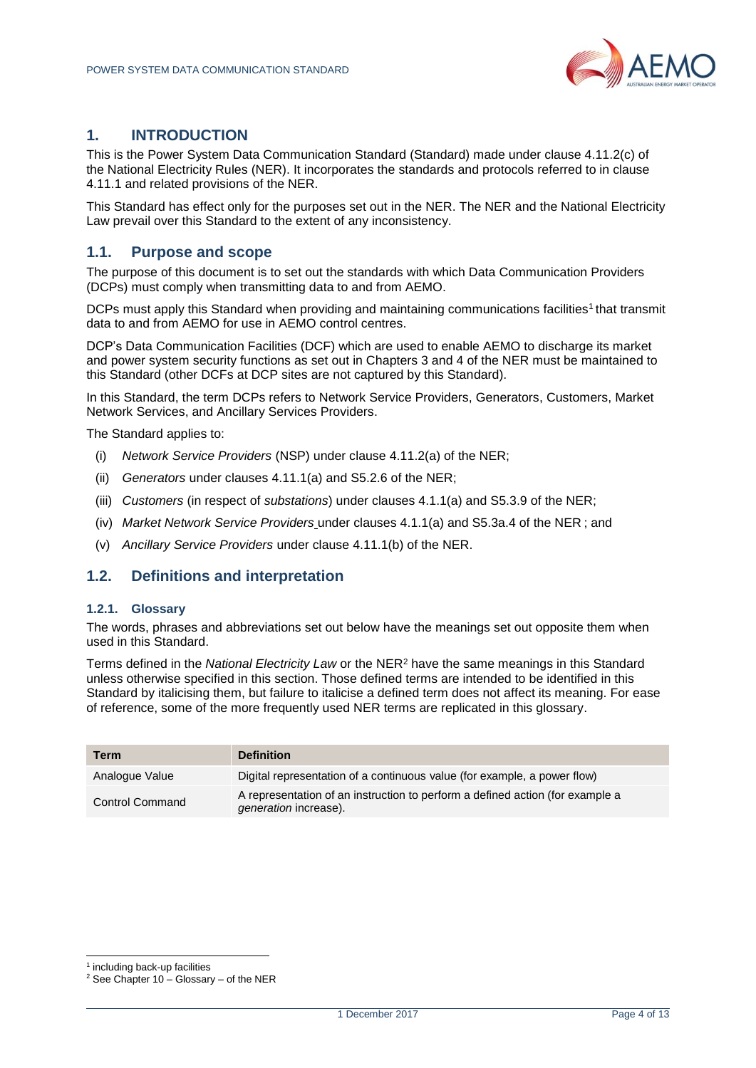

### <span id="page-3-0"></span>**1. INTRODUCTION**

This is the Power System Data Communication Standard (Standard) made under clause 4.11.2(c) of the National Electricity Rules (NER). It incorporates the standards and protocols referred to in clause 4.11.1 and related provisions of the NER.

This Standard has effect only for the purposes set out in the NER. The NER and the National Electricity Law prevail over this Standard to the extent of any inconsistency.

#### <span id="page-3-1"></span>**1.1. Purpose and scope**

The purpose of this document is to set out the standards with which Data Communication Providers (DCPs) must comply when transmitting data to and from AEMO.

DCPs must apply this Standard when providing and maintaining communications facilities<sup>1</sup> that transmit data to and from AEMO for use in AEMO control centres.

DCP's Data Communication Facilities (DCF) which are used to enable AEMO to discharge its market and power system security functions as set out in Chapters 3 and 4 of the NER must be maintained to this Standard (other DCFs at DCP sites are not captured by this Standard).

In this Standard, the term DCPs refers to Network Service Providers, Generators, Customers, Market Network Services, and Ancillary Services Providers.

The Standard applies to:

- (i) *Network Service Providers* (NSP) under clause 4.11.2(a) of the NER;
- (ii) *Generators* under clauses 4.11.1(a) and S5.2.6 of the NER;
- (iii) *Customers* (in respect of *substations*) under clauses 4.1.1(a) and S5.3.9 of the NER;
- (iv) *Market Network Service Providers* under clauses 4.1.1(a) and S5.3a.4 of the NER ; and
- (v) *Ancillary Service Providers* under clause 4.11.1(b) of the NER.

#### <span id="page-3-2"></span>**1.2. Definitions and interpretation**

#### **1.2.1. Glossary**

The words, phrases and abbreviations set out below have the meanings set out opposite them when used in this Standard.

Terms defined in the *National Electricity Law* or the NER<sup>2</sup> have the same meanings in this Standard unless otherwise specified in this section. Those defined terms are intended to be identified in this Standard by italicising them, but failure to italicise a defined term does not affect its meaning. For ease of reference, some of the more frequently used NER terms are replicated in this glossary.

| Term                   | <b>Definition</b>                                                                                      |
|------------------------|--------------------------------------------------------------------------------------------------------|
| Analogue Value         | Digital representation of a continuous value (for example, a power flow)                               |
| <b>Control Command</b> | A representation of an instruction to perform a defined action (for example a<br>generation increase). |

l

<sup>&</sup>lt;sup>1</sup> including back-up facilities

 $2$  See Chapter 10 – Glossary – of the NER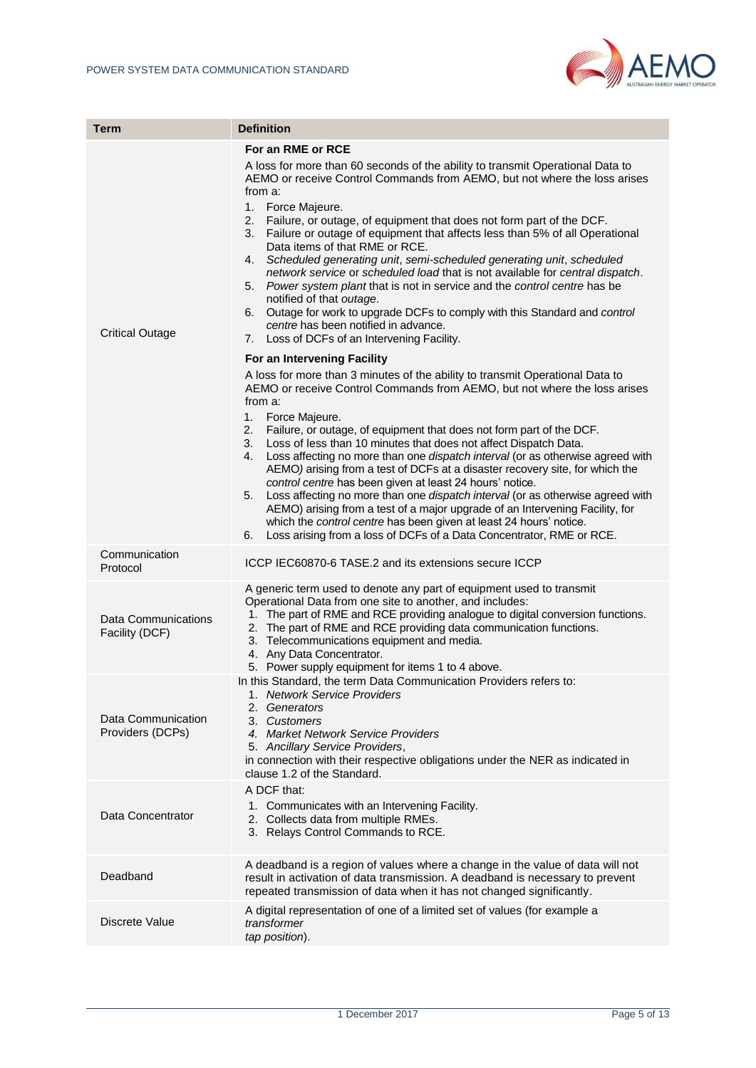

| <b>Term</b>                            | <b>Definition</b>                                                                                                                                                                                                                                                                                                                                                                                                                                                                                                                                                                                                                                                                                                                                                                                                                                                                                                                                    |
|----------------------------------------|------------------------------------------------------------------------------------------------------------------------------------------------------------------------------------------------------------------------------------------------------------------------------------------------------------------------------------------------------------------------------------------------------------------------------------------------------------------------------------------------------------------------------------------------------------------------------------------------------------------------------------------------------------------------------------------------------------------------------------------------------------------------------------------------------------------------------------------------------------------------------------------------------------------------------------------------------|
|                                        | For an RME or RCE                                                                                                                                                                                                                                                                                                                                                                                                                                                                                                                                                                                                                                                                                                                                                                                                                                                                                                                                    |
| <b>Critical Outage</b>                 | A loss for more than 60 seconds of the ability to transmit Operational Data to<br>AEMO or receive Control Commands from AEMO, but not where the loss arises<br>from a:<br>1. Force Majeure.<br>2. Failure, or outage, of equipment that does not form part of the DCF.<br>3. Failure or outage of equipment that affects less than 5% of all Operational<br>Data items of that RME or RCE.<br>4. Scheduled generating unit, semi-scheduled generating unit, scheduled<br>network service or scheduled load that is not available for central dispatch.<br>5. Power system plant that is not in service and the control centre has be<br>notified of that outage.<br>Outage for work to upgrade DCFs to comply with this Standard and control<br>6.<br>centre has been notified in advance.<br>7. Loss of DCFs of an Intervening Facility.                                                                                                            |
|                                        | For an Intervening Facility<br>A loss for more than 3 minutes of the ability to transmit Operational Data to<br>AEMO or receive Control Commands from AEMO, but not where the loss arises<br>from a:<br>1.<br>Force Majeure.<br>2.<br>Failure, or outage, of equipment that does not form part of the DCF.<br>Loss of less than 10 minutes that does not affect Dispatch Data.<br>3.<br>Loss affecting no more than one dispatch interval (or as otherwise agreed with<br>4.<br>AEMO) arising from a test of DCFs at a disaster recovery site, for which the<br>control centre has been given at least 24 hours' notice.<br>Loss affecting no more than one dispatch interval (or as otherwise agreed with<br>5.<br>AEMO) arising from a test of a major upgrade of an Intervening Facility, for<br>which the control centre has been given at least 24 hours' notice.<br>Loss arising from a loss of DCFs of a Data Concentrator, RME or RCE.<br>6. |
| Communication<br>Protocol              | ICCP IEC60870-6 TASE.2 and its extensions secure ICCP                                                                                                                                                                                                                                                                                                                                                                                                                                                                                                                                                                                                                                                                                                                                                                                                                                                                                                |
| Data Communications<br>Facility (DCF)  | A generic term used to denote any part of equipment used to transmit<br>Operational Data from one site to another, and includes:<br>1. The part of RME and RCE providing analogue to digital conversion functions.<br>2. The part of RME and RCE providing data communication functions.<br>3. Telecommunications equipment and media.<br>4. Any Data Concentrator.<br>5. Power supply equipment for items 1 to 4 above.                                                                                                                                                                                                                                                                                                                                                                                                                                                                                                                             |
| Data Communication<br>Providers (DCPs) | In this Standard, the term Data Communication Providers refers to:<br>1. Network Service Providers<br>2. Generators<br>3. Customers<br>4. Market Network Service Providers<br>5. Ancillary Service Providers,<br>in connection with their respective obligations under the NER as indicated in<br>clause 1.2 of the Standard.                                                                                                                                                                                                                                                                                                                                                                                                                                                                                                                                                                                                                        |
| Data Concentrator                      | A DCF that:<br>1. Communicates with an Intervening Facility.<br>2. Collects data from multiple RMEs.<br>3. Relays Control Commands to RCE.                                                                                                                                                                                                                                                                                                                                                                                                                                                                                                                                                                                                                                                                                                                                                                                                           |
| Deadband                               | A deadband is a region of values where a change in the value of data will not<br>result in activation of data transmission. A deadband is necessary to prevent<br>repeated transmission of data when it has not changed significantly.                                                                                                                                                                                                                                                                                                                                                                                                                                                                                                                                                                                                                                                                                                               |
| <b>Discrete Value</b>                  | A digital representation of one of a limited set of values (for example a<br>transformer<br>tap position).                                                                                                                                                                                                                                                                                                                                                                                                                                                                                                                                                                                                                                                                                                                                                                                                                                           |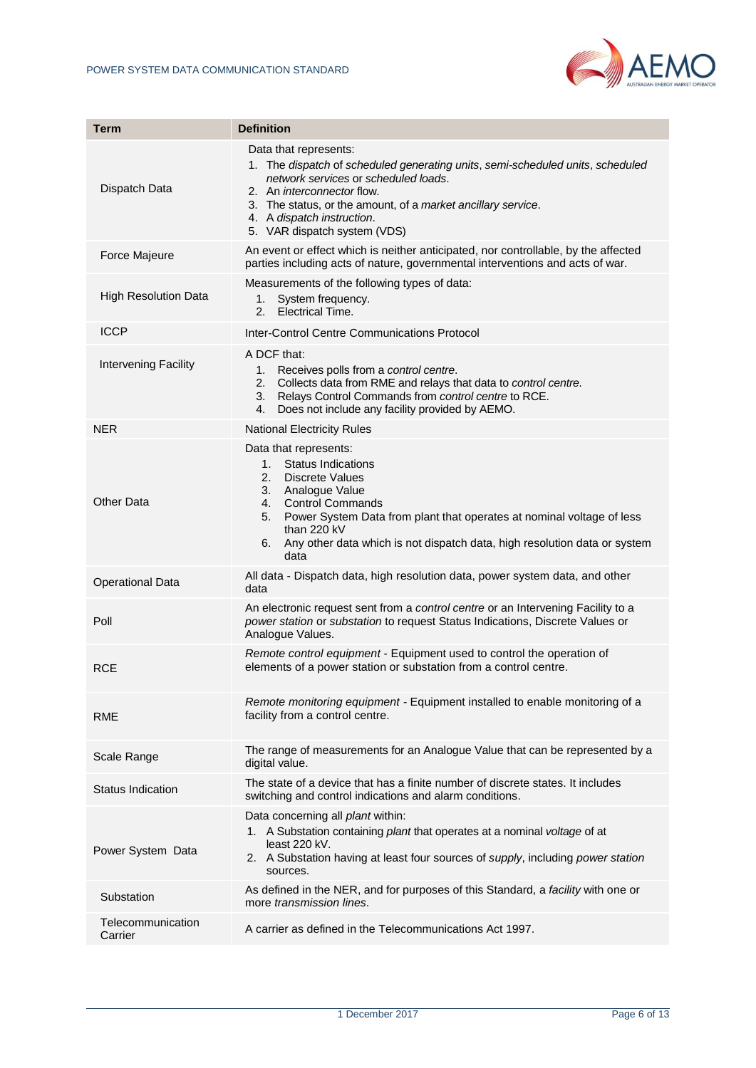

| Term                         | <b>Definition</b>                                                                                                                                                                                                                                                                                                  |
|------------------------------|--------------------------------------------------------------------------------------------------------------------------------------------------------------------------------------------------------------------------------------------------------------------------------------------------------------------|
| Dispatch Data                | Data that represents:<br>1. The dispatch of scheduled generating units, semi-scheduled units, scheduled<br>network services or scheduled loads.<br>2. An <i>interconnector</i> flow.<br>3. The status, or the amount, of a market ancillary service.<br>4. A dispatch instruction.<br>5. VAR dispatch system (VDS) |
| Force Majeure                | An event or effect which is neither anticipated, nor controllable, by the affected<br>parties including acts of nature, governmental interventions and acts of war.                                                                                                                                                |
| <b>High Resolution Data</b>  | Measurements of the following types of data:<br>System frequency.<br>1.<br>2.<br>Electrical Time.                                                                                                                                                                                                                  |
| ICCP                         | Inter-Control Centre Communications Protocol                                                                                                                                                                                                                                                                       |
| Intervening Facility         | A DCF that:<br>Receives polls from a control centre.<br>1.<br>2.<br>Collects data from RME and relays that data to control centre.<br>Relays Control Commands from control centre to RCE.<br>3.<br>Does not include any facility provided by AEMO.<br>4.                                                           |
| <b>NER</b>                   | <b>National Electricity Rules</b>                                                                                                                                                                                                                                                                                  |
| Other Data                   | Data that represents:<br>1. Status Indications<br>2. Discrete Values<br>3. Analogue Value<br>4. Control Commands<br>5. Power System Data from plant that operates at nominal voltage of less<br>than 220 kV<br>Any other data which is not dispatch data, high resolution data or system<br>6.<br>data             |
| <b>Operational Data</b>      | All data - Dispatch data, high resolution data, power system data, and other<br>data                                                                                                                                                                                                                               |
| Poll                         | An electronic request sent from a control centre or an Intervening Facility to a<br>power station or substation to request Status Indications, Discrete Values or<br>Analogue Values.                                                                                                                              |
| <b>RCE</b>                   | Remote control equipment - Equipment used to control the operation of<br>elements of a power station or substation from a control centre.                                                                                                                                                                          |
| <b>RME</b>                   | Remote monitoring equipment - Equipment installed to enable monitoring of a<br>facility from a control centre.                                                                                                                                                                                                     |
| Scale Range                  | The range of measurements for an Analogue Value that can be represented by a<br>digital value.                                                                                                                                                                                                                     |
| <b>Status Indication</b>     | The state of a device that has a finite number of discrete states. It includes<br>switching and control indications and alarm conditions.                                                                                                                                                                          |
| Power System Data            | Data concerning all plant within:<br>1. A Substation containing plant that operates at a nominal voltage of at<br>least 220 kV.<br>2. A Substation having at least four sources of supply, including power station<br>sources.                                                                                     |
| Substation                   | As defined in the NER, and for purposes of this Standard, a facility with one or<br>more transmission lines.                                                                                                                                                                                                       |
| Telecommunication<br>Carrier | A carrier as defined in the Telecommunications Act 1997.                                                                                                                                                                                                                                                           |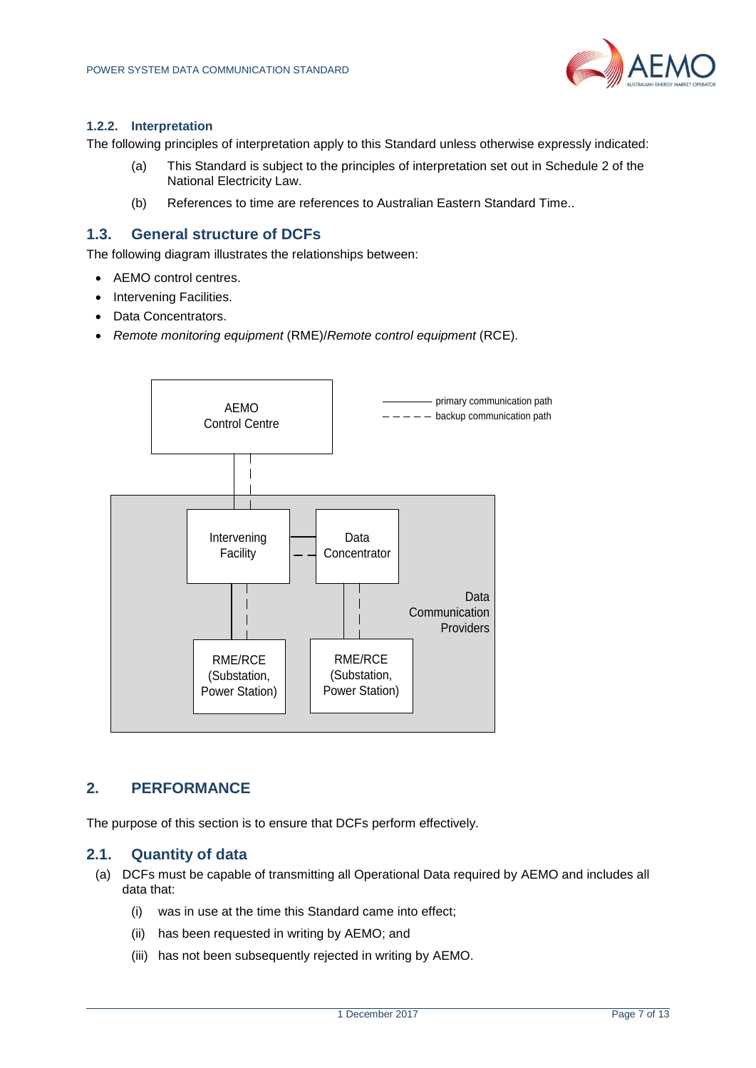

#### **1.2.2. Interpretation**

The following principles of interpretation apply to this Standard unless otherwise expressly indicated:

- (a) This Standard is subject to the principles of interpretation set out in Schedule 2 of the National Electricity Law.
- (b) References to time are references to Australian Eastern Standard Time..

### <span id="page-6-0"></span>**1.3. General structure of DCFs**

The following diagram illustrates the relationships between:

- AEMO control centres.
- Intervening Facilities.
- Data Concentrators.
- *Remote monitoring equipment* (RME)/*Remote control equipment* (RCE).



#### <span id="page-6-1"></span>**2. PERFORMANCE**

The purpose of this section is to ensure that DCFs perform effectively.

#### <span id="page-6-2"></span>**2.1. Quantity of data**

- (a) DCFs must be capable of transmitting all Operational Data required by AEMO and includes all data that:
	- (i) was in use at the time this Standard came into effect;
	- (ii) has been requested in writing by AEMO; and
	- (iii) has not been subsequently rejected in writing by AEMO.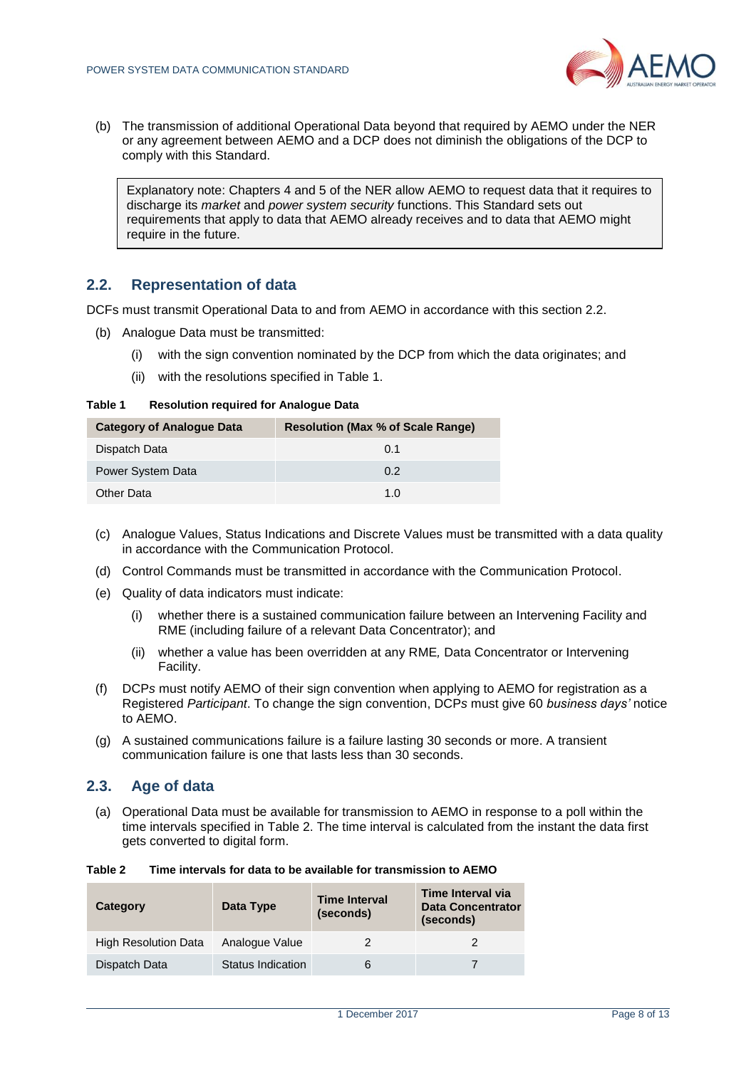

(b) The transmission of additional Operational Data beyond that required by AEMO under the NER or any agreement between AEMO and a DCP does not diminish the obligations of the DCP to comply with this Standard.

Explanatory note: Chapters 4 and 5 of the NER allow AEMO to request data that it requires to discharge its *market* and *power system security* functions. This Standard sets out requirements that apply to data that AEMO already receives and to data that AEMO might require in the future.

### <span id="page-7-0"></span>**2.2. Representation of data**

DCFs must transmit Operational Data to and from AEMO in accordance with this section 2.2.

- (b) Analogue Data must be transmitted:
	- (i) with the sign convention nominated by the DCP from which the data originates; and
	- (ii) with the resolutions specified in Table 1.

#### <span id="page-7-2"></span>**Table 1 Resolution required for Analogue Data**

| <b>Category of Analogue Data</b> | <b>Resolution (Max % of Scale Range)</b> |
|----------------------------------|------------------------------------------|
| Dispatch Data                    | 0.1                                      |
| Power System Data                | 0.2                                      |
| Other Data                       | 1 O                                      |

- (c) Analogue Values, Status Indications and Discrete Values must be transmitted with a data quality in accordance with the Communication Protocol.
- (d) Control Commands must be transmitted in accordance with the Communication Protocol.
- (e) Quality of data indicators must indicate:
	- (i) whether there is a sustained communication failure between an Intervening Facility and RME (including failure of a relevant Data Concentrator); and
	- (ii) whether a value has been overridden at any RME*,* Data Concentrator or Intervening Facility.
- (f) DCP*s* must notify AEMO of their sign convention when applying to AEMO for registration as a Registered *Participant*. To change the sign convention, DCP*s* must give 60 *business days'* notice to AEMO.
- (g) A sustained communications failure is a failure lasting 30 seconds or more. A transient communication failure is one that lasts less than 30 seconds.

#### <span id="page-7-1"></span>**2.3. Age of data**

(a) Operational Data must be available for transmission to AEMO in response to a poll within the time intervals specified in Table 2. The time interval is calculated from the instant the data first gets converted to digital form.

<span id="page-7-3"></span>**Table 2 Time intervals for data to be available for transmission to AEMO** 

| Category                    | Data Type         | <b>Time Interval</b><br>(seconds) | Time Interval via<br><b>Data Concentrator</b><br>(seconds) |
|-----------------------------|-------------------|-----------------------------------|------------------------------------------------------------|
| <b>High Resolution Data</b> | Analogue Value    |                                   |                                                            |
| Dispatch Data               | Status Indication |                                   |                                                            |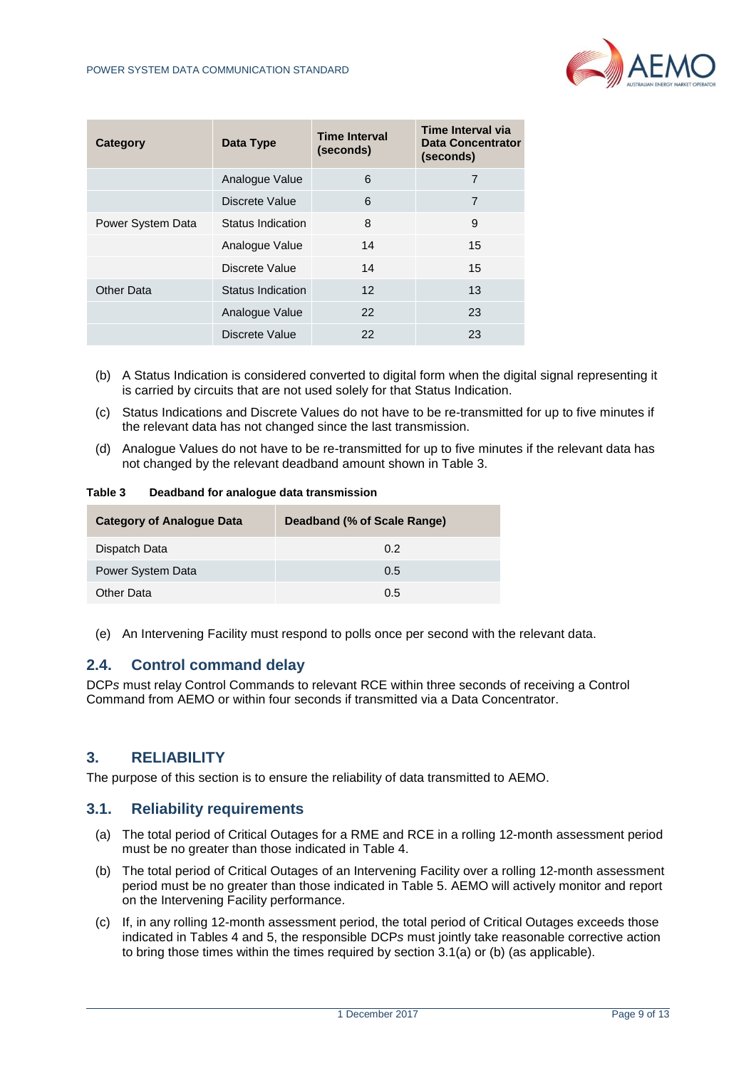

| Category          | Data Type         | <b>Time Interval</b><br>(seconds) | Time Interval via<br><b>Data Concentrator</b><br>(seconds) |
|-------------------|-------------------|-----------------------------------|------------------------------------------------------------|
|                   | Analogue Value    | 6                                 | 7                                                          |
|                   | Discrete Value    | 6                                 | 7                                                          |
| Power System Data | Status Indication | 8                                 | 9                                                          |
|                   | Analogue Value    | 14                                | 15                                                         |
|                   | Discrete Value    | 14                                | 15                                                         |
| <b>Other Data</b> | Status Indication | $12 \,$                           | 13                                                         |
|                   | Analogue Value    | 22                                | 23                                                         |
|                   | Discrete Value    | 22                                | 23                                                         |

- (b) A Status Indication is considered converted to digital form when the digital signal representing it is carried by circuits that are not used solely for that Status Indication.
- (c) Status Indications and Discrete Values do not have to be re-transmitted for up to five minutes if the relevant data has not changed since the last transmission.
- (d) Analogue Values do not have to be re-transmitted for up to five minutes if the relevant data has not changed by the relevant deadband amount shown in Table 3.

<span id="page-8-3"></span>**Table 3 Deadband for analogue data transmission**

| <b>Category of Analogue Data</b> | Deadband (% of Scale Range) |
|----------------------------------|-----------------------------|
| Dispatch Data                    | 0.2                         |
| Power System Data                | 0.5                         |
| Other Data                       | 0.5                         |

(e) An Intervening Facility must respond to polls once per second with the relevant data.

#### <span id="page-8-0"></span>**2.4. Control command delay**

DCP*s* must relay Control Commands to relevant RCE within three seconds of receiving a Control Command from AEMO or within four seconds if transmitted via a Data Concentrator.

## <span id="page-8-1"></span>**3. RELIABILITY**

The purpose of this section is to ensure the reliability of data transmitted to AEMO.

#### <span id="page-8-2"></span>**3.1. Reliability requirements**

- (a) The total period of Critical Outages for a RME and RCE in a rolling 12-month assessment period must be no greater than those indicated in Table 4.
- (b) The total period of Critical Outages of an Intervening Facility over a rolling 12-month assessment period must be no greater than those indicated in Table 5. AEMO will actively monitor and report on the Intervening Facility performance.
- (c) If, in any rolling 12-month assessment period, the total period of Critical Outages exceeds those indicated in Tables 4 and 5, the responsible DCP*s* must jointly take reasonable corrective action to bring those times within the times required by section 3.1(a) or (b) (as applicable).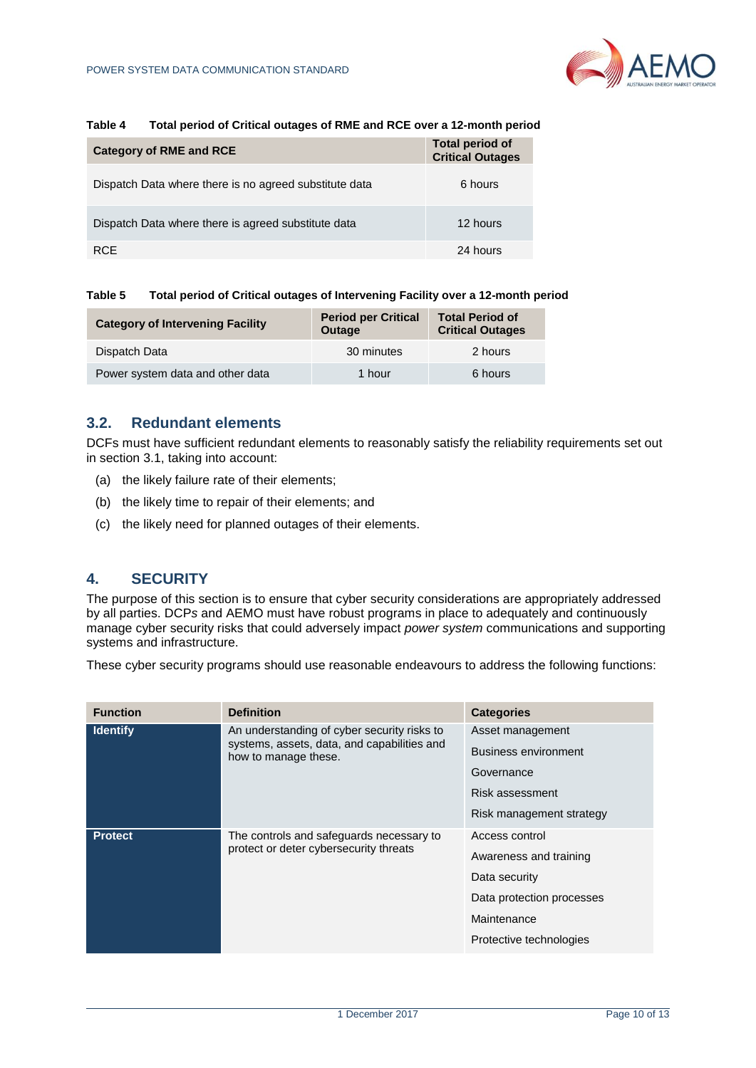

#### <span id="page-9-2"></span>**Table 4 Total period of Critical outages of RME and RCE over a 12-month period**

| <b>Category of RME and RCE</b>                         | <b>Total period of</b><br><b>Critical Outages</b> |
|--------------------------------------------------------|---------------------------------------------------|
| Dispatch Data where there is no agreed substitute data | 6 hours                                           |
| Dispatch Data where there is agreed substitute data    | 12 hours                                          |
| <b>RCE</b>                                             | 24 hours                                          |

#### <span id="page-9-3"></span>**Table 5 Total period of Critical outages of Intervening Facility over a 12-month period**

| <b>Category of Intervening Facility</b> | <b>Period per Critical</b><br><b>Outage</b> | <b>Total Period of</b><br><b>Critical Outages</b> |
|-----------------------------------------|---------------------------------------------|---------------------------------------------------|
| Dispatch Data                           | 30 minutes                                  | 2 hours                                           |
| Power system data and other data        | 1 hour                                      | 6 hours                                           |

#### <span id="page-9-0"></span>**3.2. Redundant elements**

DCFs must have sufficient redundant elements to reasonably satisfy the reliability requirements set out in section 3.1, taking into account:

- (a) the likely failure rate of their elements;
- (b) the likely time to repair of their elements; and
- (c) the likely need for planned outages of their elements.

### <span id="page-9-1"></span>**4. SECURITY**

The purpose of this section is to ensure that cyber security considerations are appropriately addressed by all parties. DCP*s* and AEMO must have robust programs in place to adequately and continuously manage cyber security risks that could adversely impact *power system* communications and supporting systems and infrastructure.

These cyber security programs should use reasonable endeavours to address the following functions:

| <b>Function</b>                                          | <b>Definition</b>                                                                                                  | <b>Categories</b>         |
|----------------------------------------------------------|--------------------------------------------------------------------------------------------------------------------|---------------------------|
| <b>Identify</b>                                          | An understanding of cyber security risks to<br>systems, assets, data, and capabilities and<br>how to manage these. | Asset management          |
|                                                          |                                                                                                                    | Business environment      |
|                                                          |                                                                                                                    | Governance                |
|                                                          |                                                                                                                    | Risk assessment           |
|                                                          |                                                                                                                    | Risk management strategy  |
| <b>Protect</b><br>protect or deter cybersecurity threats | The controls and safeguards necessary to                                                                           | Access control            |
|                                                          |                                                                                                                    | Awareness and training    |
|                                                          |                                                                                                                    | Data security             |
|                                                          |                                                                                                                    | Data protection processes |
|                                                          |                                                                                                                    | Maintenance               |
|                                                          |                                                                                                                    | Protective technologies   |
|                                                          |                                                                                                                    |                           |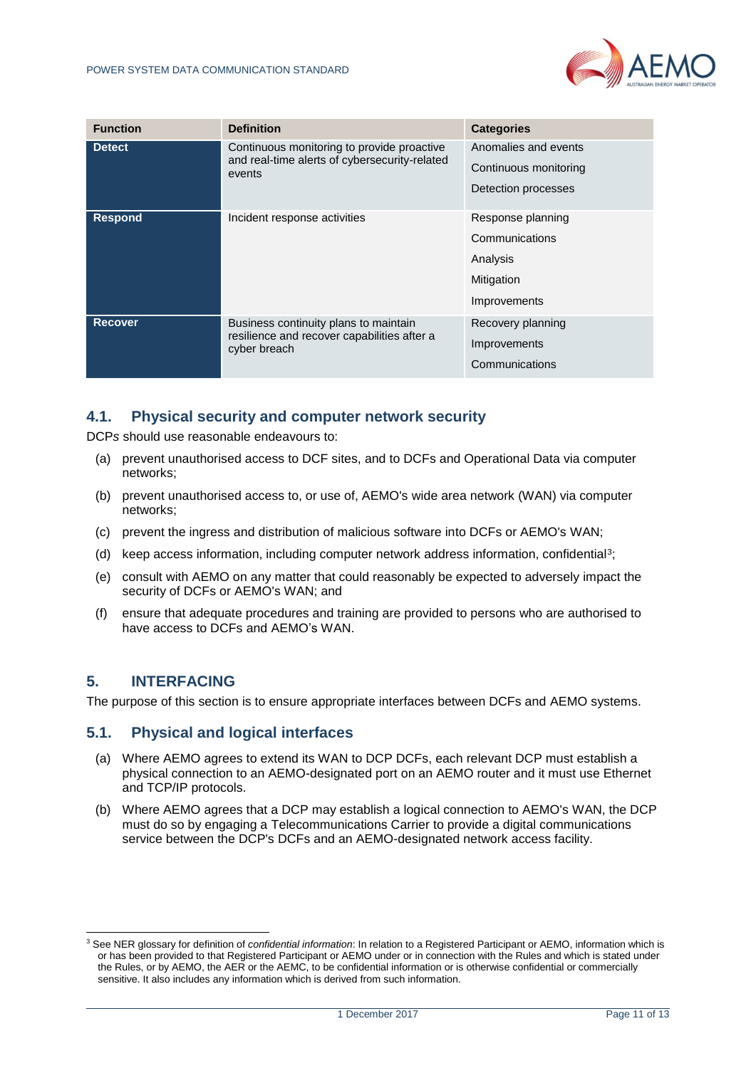

| <b>Function</b>                                | <b>Definition</b>                                                                                     | <b>Categories</b>     |
|------------------------------------------------|-------------------------------------------------------------------------------------------------------|-----------------------|
| <b>Detect</b>                                  | Continuous monitoring to provide proactive<br>and real-time alerts of cybersecurity-related<br>events | Anomalies and events  |
|                                                |                                                                                                       | Continuous monitoring |
|                                                |                                                                                                       | Detection processes   |
| <b>Respond</b><br>Incident response activities | Response planning                                                                                     |                       |
|                                                |                                                                                                       | Communications        |
|                                                |                                                                                                       | Analysis              |
|                                                |                                                                                                       | Mitigation            |
|                                                |                                                                                                       | Improvements          |
| <b>Recover</b>                                 | Business continuity plans to maintain<br>resilience and recover capabilities after a<br>cyber breach  | Recovery planning     |
|                                                |                                                                                                       | Improvements          |
|                                                |                                                                                                       | Communications        |

## <span id="page-10-0"></span>**4.1. Physical security and computer network security**

DCP*s* should use reasonable endeavours to:

- (a) prevent unauthorised access to DCF sites, and to DCFs and Operational Data via computer networks;
- (b) prevent unauthorised access to, or use of, AEMO's wide area network (WAN) via computer networks;
- (c) prevent the ingress and distribution of malicious software into DCFs or AEMO's WAN;
- (d) keep access information, including computer network address information, confidential<sup>3</sup> ;
- (e) consult with AEMO on any matter that could reasonably be expected to adversely impact the security of DCFs or AEMO's WAN; and
- (f) ensure that adequate procedures and training are provided to persons who are authorised to have access to DCFs and AEMO's WAN.

## <span id="page-10-1"></span>**5. INTERFACING**

l

The purpose of this section is to ensure appropriate interfaces between DCFs and AEMO systems.

#### <span id="page-10-2"></span>**5.1. Physical and logical interfaces**

- (a) Where AEMO agrees to extend its WAN to DCP DCFs, each relevant DCP must establish a physical connection to an AEMO-designated port on an AEMO router and it must use Ethernet and TCP/IP protocols.
- (b) Where AEMO agrees that a DCP may establish a logical connection to AEMO's WAN, the DCP must do so by engaging a Telecommunications Carrier to provide a digital communications service between the DCP's DCFs and an AEMO-designated network access facility.

<sup>3</sup> See NER glossary for definition of *confidential information*: In relation to a Registered Participant or AEMO, information which is or has been provided to that Registered Participant or AEMO under or in connection with the Rules and which is stated under the Rules, or by AEMO, the AER or the AEMC, to be confidential information or is otherwise confidential or commercially sensitive. It also includes any information which is derived from such information.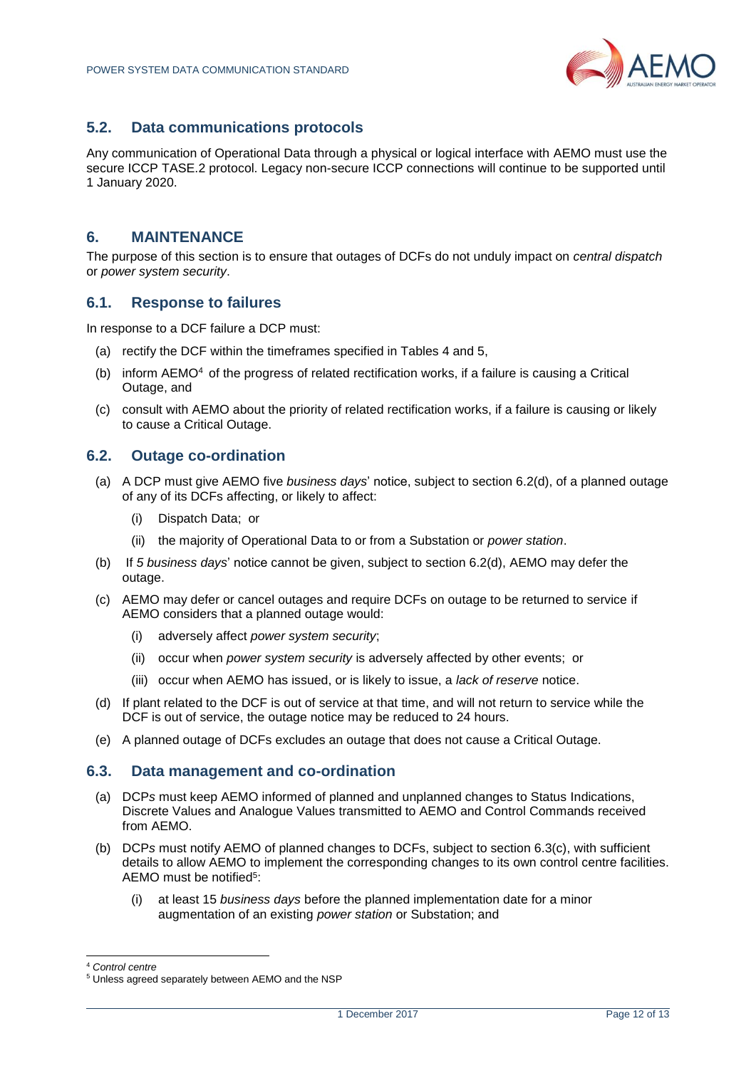

## <span id="page-11-0"></span>**5.2. Data communications protocols**

Any communication of Operational Data through a physical or logical interface with AEMO must use the secure ICCP TASE.2 protocol. Legacy non-secure ICCP connections will continue to be supported until 1 January 2020.

### <span id="page-11-1"></span>**6. MAINTENANCE**

The purpose of this section is to ensure that outages of DCFs do not unduly impact on *central dispatch* or *power system security*.

#### <span id="page-11-2"></span>**6.1. Response to failures**

In response to a DCF failure a DCP must:

- (a) rectify the DCF within the timeframes specified in Tables 4 and 5,
- (b) inform  $AEMO<sup>4</sup>$  of the progress of related rectification works, if a failure is causing a Critical Outage, and
- (c) consult with AEMO about the priority of related rectification works, if a failure is causing or likely to cause a Critical Outage.

### <span id="page-11-3"></span>**6.2. Outage co-ordination**

- (a) A DCP must give AEMO five *business days*' notice, subject to section 6.2(d), of a planned outage of any of its DCFs affecting, or likely to affect:
	- (i) Dispatch Data; or
	- (ii) the majority of Operational Data to or from a Substation or *power station*.
- (b) If *5 business days*' notice cannot be given, subject to section 6.2(d), AEMO may defer the outage.
- (c) AEMO may defer or cancel outages and require DCFs on outage to be returned to service if AEMO considers that a planned outage would:
	- (i) adversely affect *power system security*;
	- (ii) occur when *power system security* is adversely affected by other events; or
	- (iii) occur when AEMO has issued, or is likely to issue, a *lack of reserve* notice.
- (d) If plant related to the DCF is out of service at that time, and will not return to service while the DCF is out of service, the outage notice may be reduced to 24 hours.
- (e) A planned outage of DCFs excludes an outage that does not cause a Critical Outage.

#### <span id="page-11-4"></span>**6.3. Data management and co-ordination**

- (a) DCP*s* must keep AEMO informed of planned and unplanned changes to Status Indications, Discrete Values and Analogue Values transmitted to AEMO and Control Commands received from AEMO.
- (b) DCP*s* must notify AEMO of planned changes to DCFs, subject to section 6.3(c), with sufficient details to allow AEMO to implement the corresponding changes to its own control centre facilities. AEMO must be notified<sup>5</sup>:
	- (i) at least 15 *business days* before the planned implementation date for a minor augmentation of an existing *power station* or Substation; and

l

<sup>4</sup> *Control centre*

<sup>5</sup> Unless agreed separately between AEMO and the NSP